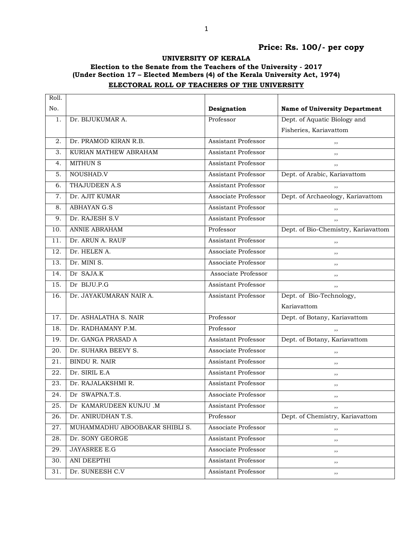## Price: Rs. 100/- per copy

UNIVERSITY OF KERALA

## Election to the Senate from the Teachers of the University - 2017 (Under Section 17 – Elected Members (4) of the Kerala University Act, 1974) ELECTORAL ROLL OF TEACHERS OF THE UNIVERSITY

| Roll. |                                |                            |                                      |
|-------|--------------------------------|----------------------------|--------------------------------------|
| No.   |                                | Designation                | <b>Name of University Department</b> |
| 1.    | Dr. BIJUKUMAR A.               | Professor                  | Dept. of Aquatic Biology and         |
|       |                                |                            | Fisheries, Kariavattom               |
| 2.    | Dr. PRAMOD KIRAN R.B.          | Assistant Professor        | ,,                                   |
| 3.    | KURIAN MATHEW ABRAHAM          | Assistant Professor        | ,,                                   |
| 4.    | <b>MITHUN S</b>                | <b>Assistant Professor</b> | ,,                                   |
| 5.    | NOUSHAD.V                      | <b>Assistant Professor</b> | Dept. of Arabic, Kariavattom         |
| 6.    | THAJUDEEN A.S                  | Assistant Professor        | ,,                                   |
| 7.    | Dr. AJIT KUMAR                 | Associate Professor        | Dept. of Archaeology, Kariavattom    |
| 8.    | <b>ABHAYAN G.S</b>             | Assistant Professor        | ,,                                   |
| 9.    | Dr. RAJESH S.V                 | Assistant Professor        | ,,                                   |
| 10.   | ANNIE ABRAHAM                  | Professor                  | Dept. of Bio-Chemistry, Kariavattom  |
| 11.   | Dr. ARUN A. RAUF               | <b>Assistant Professor</b> | ,,                                   |
| 12.   | Dr. HELEN A.                   | Associate Professor        | ,,                                   |
| 13.   | Dr. MINI S.                    | Associate Professor        | ,,                                   |
| 14.   | Dr SAJA.K                      | Associate Professor        | ,,                                   |
| 15.   | Dr BIJU.P.G                    | Assistant Professor        | ,,                                   |
| 16.   | Dr. JAYAKUMARAN NAIR A.        | <b>Assistant Professor</b> | Dept. of Bio-Technology,             |
|       |                                |                            | Kariavattom                          |
| 17.   | Dr. ASHALATHA S. NAIR          | Professor                  | Dept. of Botany, Kariavattom         |
| 18.   | Dr. RADHAMANY P.M.             | Professor                  | , ,                                  |
| 19.   | Dr. GANGA PRASAD A             | Assistant Professor        | Dept. of Botany, Kariavattom         |
| 20.   | Dr. SUHARA BEEVY S.            | Associate Professor        | ,,                                   |
| 21.   | <b>BINDU R. NAIR</b>           | <b>Assistant Professor</b> | ,,                                   |
| 22.   | Dr. SIRIL E.A                  | <b>Assistant Professor</b> | ,,                                   |
| 23.   | Dr. RAJALAKSHMI R.             | Assistant Professor        | ,,                                   |
| 24.   | Dr SWAPNA.T.S.                 | Associate Professor        | ,,                                   |
| 25.   | Dr KAMARUDEEN KUNJU .M         | Assistant Professor        | ,,                                   |
| 26.   | Dr. ANIRUDHAN T.S.             | Professor                  | Dept. of Chemistry, Kariavattom      |
| 27.   | MUHAMMADHU ABOOBAKAR SHIBLI S. | Associate Professor        | ,,                                   |
| 28.   | Dr. SONY GEORGE                | Assistant Professor        | $, \,$                               |
| 29.   | <b>JAYASREE E.G</b>            | Associate Professor        | ,,                                   |
| 30.   | ANI DEEPTHI                    | <b>Assistant Professor</b> | ,,                                   |
| 31.   | Dr. SUNEESH C.V                | Assistant Professor        | $, \,$                               |
|       |                                |                            |                                      |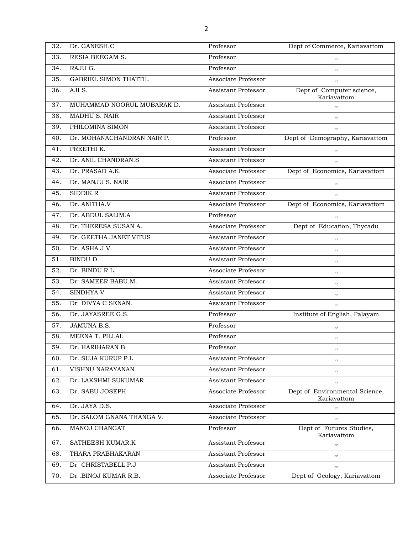| 32. | Dr. GANESH.C                 | Professor                  | Dept of Commerce, Kariavattom                 |
|-----|------------------------------|----------------------------|-----------------------------------------------|
| 33. | RESIA BEEGAM S.              | Professor                  | ,,                                            |
| 34. | RAJU G.                      | Professor                  | ,,                                            |
| 35. | <b>GABRIEL SIMON THATTIL</b> | Associate Professor        | ,,                                            |
| 36. | AJI S.                       | <b>Assistant Professor</b> | Dept of Computer science,<br>Kariavattom      |
| 37. | MUHAMMAD NOORUL MUBARAK D.   | <b>Assistant Professor</b> | , ,                                           |
| 38. | <b>MADHU S. NAIR</b>         | <b>Assistant Professor</b> | ,,                                            |
| 39. | PHILOMINA SIMON              | <b>Assistant Professor</b> | ,,                                            |
| 40. | Dr. MOHANACHANDRAN NAIR P.   | Professor                  | Dept of Demography, Kariavattom               |
| 41. | PREETHI K.                   | <b>Assistant Professor</b> | ,,                                            |
| 42. | Dr. ANIL CHANDRAN.S          | <b>Assistant Professor</b> | ,,                                            |
| 43. | Dr. PRASAD A.K.              | Associate Professor        | Dept of Economics, Kariavattom                |
| 44. | Dr. MANJU S. NAIR            | Associate Professor        | ,,                                            |
| 45. | SIDDIK.R                     | <b>Assistant Professor</b> | ,,                                            |
| 46. | Dr. ANITHA.V                 | Associate Professor        | Dept of Economics, Kariavattom                |
| 47. | Dr. ABDUL SALIM.A            | Professor                  | ,,                                            |
| 48. | Dr. THERESA SUSAN A.         | Associate Professor        | Dept of Education, Thycadu                    |
| 49. | Dr. GEETHA JANET VITUS       | <b>Assistant Professor</b> | ,,                                            |
| 50. | Dr. ASHA J.V.                | <b>Assistant Professor</b> | ,,                                            |
| 51. | BINDU D.                     | <b>Assistant Professor</b> | ,,                                            |
| 52. | Dr. BINDU R.L.               | Associate Professor        | ,,                                            |
| 53. | Dr SAMEER BABU.M.            | <b>Assistant Professor</b> | ,,                                            |
| 54. | SINDHYA V                    | <b>Assistant Professor</b> | ,,                                            |
| 55. | Dr DIVYA C SENAN.            | Assistant Professor        | ,,                                            |
| 56. | Dr. JAYASREE G.S.            | Professor                  | Institute of English, Palayam                 |
| 57. | <b>JAMUNA B.S.</b>           | Professor                  | ,,                                            |
| 58. | MEENA T. PILLAI.             | Professor                  | ,,                                            |
| 59. | Dr. HARIHARAN B.             | Professor                  | ,,                                            |
| 60. | Dr. SUJA KURUP P.L           | Assistant Professor        | ,,                                            |
| 61. | VISHNU NARAYANAN             | Assistant Professor        | ,,                                            |
| 62. | Dr. LAKSHMI SUKUMAR          | <b>Assistant Professor</b> | ,,                                            |
| 63. | Dr. SABU JOSEPH              | Associate Professor        | Dept of Environmental Science,<br>Kariavattom |
| 64. | Dr. JAYA D.S.                | Associate Professor        | ,,                                            |
| 65. | Dr. SALOM GNANA THANGA V.    | Associate Professor        | ,,                                            |
| 66. | MANOJ CHANGAT                | Professor                  | Dept of Futures Studies,<br>Kariavattom       |
| 67. | SATHEESH KUMAR.K             | Assistant Professor        | ,,                                            |
| 68. | THARA PRABHAKARAN            | <b>Assistant Professor</b> | ,,                                            |
| 69. | Dr CHRISTABELL P.J           | <b>Assistant Professor</b> | ,,                                            |
| 70. | Dr .BINOJ KUMAR R.B.         | Associate Professor        | Dept of Geology, Kariavattom                  |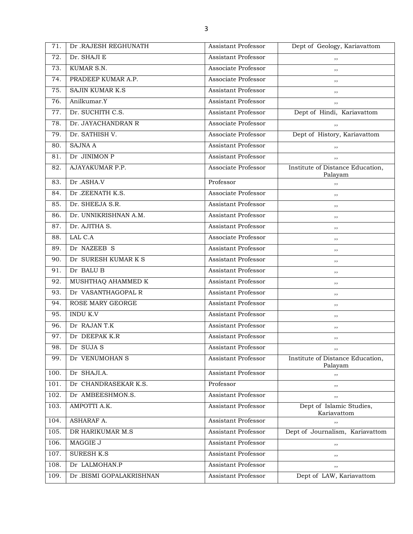| 71.  | Dr .RAJESH REGHUNATH     | Assistant Professor        | Dept of Geology, Kariavattom                |
|------|--------------------------|----------------------------|---------------------------------------------|
| 72.  | Dr. SHAJI E              | <b>Assistant Professor</b> | ,,                                          |
| 73.  | KUMAR S.N.               | Associate Professor        | ,,                                          |
| 74.  | PRADEEP KUMAR A.P.       | Associate Professor        | ,,                                          |
| 75.  | <b>SAJIN KUMAR K.S</b>   | <b>Assistant Professor</b> | ,,                                          |
| 76.  | Anilkumar.Y              | <b>Assistant Professor</b> | ,,                                          |
| 77.  | Dr. SUCHITH C.S.         | <b>Assistant Professor</b> | Dept of Hindi, Kariavattom                  |
| 78.  | Dr. JAYACHANDRAN R       | Associate Professor        | ,,                                          |
| 79.  | Dr. SATHISH V.           | Associate Professor        | Dept of History, Kariavattom                |
| 80.  | <b>SAJNA A</b>           | <b>Assistant Professor</b> | ,,                                          |
| 81.  | Dr JINIMON P             | <b>Assistant Professor</b> | ,,                                          |
| 82.  | AJAYAKUMAR P.P.          | Associate Professor        | Institute of Distance Education,<br>Palayam |
| 83.  | Dr .ASHA.V               | Professor                  | ,,                                          |
| 84.  | Dr.ZEENATH K.S.          | Associate Professor        | ,,                                          |
| 85.  | Dr. SHEEJA S.R.          | <b>Assistant Professor</b> | ,,                                          |
| 86.  | Dr. UNNIKRISHNAN A.M.    | <b>Assistant Professor</b> | ,,                                          |
| 87.  | Dr. AJITHA S.            | <b>Assistant Professor</b> | ,,                                          |
| 88.  | LAL C.A                  | Associate Professor        | ,,                                          |
| 89.  | Dr NAZEEB S              | Assistant Professor        | ,,                                          |
| 90.  | Dr SURESH KUMAR K S      | <b>Assistant Professor</b> | ,,                                          |
| 91.  | Dr BALU B                | <b>Assistant Professor</b> | ,,                                          |
| 92.  | MUSHTHAQ AHAMMED K       | <b>Assistant Professor</b> | ,,                                          |
| 93.  | Dr VASANTHAGOPAL R       | <b>Assistant Professor</b> | ,,                                          |
| 94.  | ROSE MARY GEORGE         | <b>Assistant Professor</b> | ,,                                          |
| 95.  | <b>INDU K.V</b>          | <b>Assistant Professor</b> | ,,                                          |
| 96.  | Dr RAJAN T.K             | <b>Assistant Professor</b> | ,,                                          |
| 97.  | Dr DEEPAK K.R            | <b>Assistant Professor</b> | $, \,$                                      |
| 98.  | Dr SUJA S                | Assistant Professor        | ,,                                          |
| 99.  | Dr VENUMOHAN S           | <b>Assistant Professor</b> | Institute of Distance Education,<br>Palayam |
| 100. | Dr SHAJI.A.              | Assistant Professor        | ,,                                          |
| 101. | Dr CHANDRASEKAR K.S.     | Professor                  | ,,                                          |
| 102. | Dr AMBEESHMON.S.         | Assistant Professor        | ,,                                          |
| 103. | AMPOTTI A.K.             | Assistant Professor        | Dept of Islamic Studies,<br>Kariavattom     |
| 104. | <b>ASHARAF A.</b>        | <b>Assistant Professor</b> | ,,                                          |
| 105. | DR HARIKUMAR M.S         | <b>Assistant Professor</b> | Dept of Journalism, Kariavattom             |
| 106. | MAGGIE J                 | Assistant Professor        | ,,                                          |
| 107. | <b>SURESH K.S</b>        | <b>Assistant Professor</b> | ,,                                          |
| 108. | Dr LALMOHAN.P            | Assistant Professor        | ,,                                          |
| 109. | Dr .BISMI GOPALAKRISHNAN | Assistant Professor        | Dept of LAW, Kariavattom                    |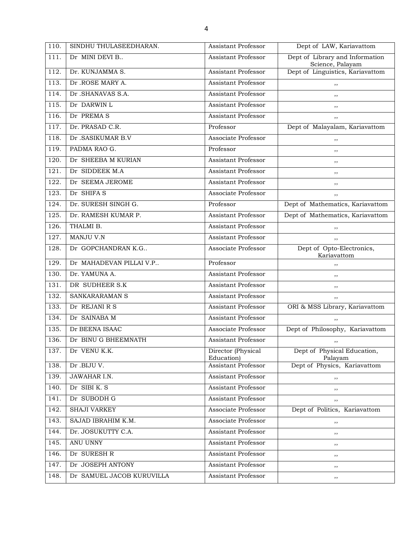| 110. | SINDHU THULASEEDHARAN.    | Assistant Professor              | Dept of LAW, Kariavattom                            |
|------|---------------------------|----------------------------------|-----------------------------------------------------|
| 111. | Dr MINI DEVI B            | Assistant Professor              | Dept of Library and Information<br>Science, Palayam |
| 112. | Dr. KUNJAMMA S.           | <b>Assistant Professor</b>       | Dept of Linguistics, Kariavattom                    |
| 113. | Dr.ROSE MARY A.           | Assistant Professor              | ,,                                                  |
| 114. | Dr .SHANAVAS S.A.         | <b>Assistant Professor</b>       | ,,                                                  |
| 115. | Dr DARWIN L               | <b>Assistant Professor</b>       | ,,                                                  |
| 116. | Dr PREMAS                 | <b>Assistant Professor</b>       | ,,                                                  |
| 117. | Dr. PRASAD C.R.           | Professor                        | Dept of Malayalam, Kariavattom                      |
| 118. | Dr .SASIKUMAR B.V         | Associate Professor              | ,,                                                  |
| 119. | PADMA RAO G.              | Professor                        | ,,                                                  |
| 120. | Dr SHEEBA M KURIAN        | Assistant Professor              | ,,                                                  |
| 121. | Dr SIDDEEK M.A            | <b>Assistant Professor</b>       | ,,                                                  |
| 122. | Dr SEEMA JEROME           | <b>Assistant Professor</b>       | ,,                                                  |
| 123. | Dr SHIFA S                | Associate Professor              | ,,                                                  |
| 124. | Dr. SURESH SINGH G.       | Professor                        | Dept of Mathematics, Kariavattom                    |
| 125. | Dr. RAMESH KUMAR P.       | <b>Assistant Professor</b>       | Dept of Mathematics, Kariavattom                    |
| 126. | THALMI B.                 | <b>Assistant Professor</b>       | ,,                                                  |
| 127. | <b>MANJU V.N</b>          | <b>Assistant Professor</b>       | ,,                                                  |
| 128. | Dr GOPCHANDRAN K.G        | Associate Professor              | Dept of Opto-Electronics,<br>Kariavattom            |
| 129. | Dr MAHADEVAN PILLAI V.P   | Professor                        | ,,                                                  |
| 130. | Dr. YAMUNA A.             | Assistant Professor              | ,,                                                  |
| 131. | DR SUDHEER S.K            | <b>Assistant Professor</b>       | ,,                                                  |
| 132. | SANKARARAMAN S            | <b>Assistant Professor</b>       | ,,                                                  |
| 133. | Dr REJANI R S             | <b>Assistant Professor</b>       | ORI & MSS Library, Kariavattom                      |
| 134. | Dr SAINABA M              | <b>Assistant Professor</b>       | ,,                                                  |
| 135. | Dr BEENA ISAAC            | Associate Professor              | Dept of Philosophy, Kariavattom                     |
| 136. | Dr BINU G BHEEMNATH       | Assistant Professor              | , ,                                                 |
| 137. | Dr VENU K.K.              | Director (Physical<br>Education) | Dept of Physical Education,<br>Palayam              |
| 138. | Dr .BIJU V.               | <b>Assistant Professor</b>       | Dept of Physics, Kariavattom                        |
| 139. | <b>JAWAHAR I.N.</b>       | Assistant Professor              | $, \,$                                              |
| 140. | Dr SIBI K. S              | <b>Assistant Professor</b>       | ,,                                                  |
| 141. | Dr SUBODH G               | <b>Assistant Professor</b>       | ,,                                                  |
| 142. | <b>SHAJI VARKEY</b>       | Associate Professor              | Dept of Politics, Kariavattom                       |
| 143. | SAJAD IBRAHIM K.M.        | Associate Professor              | ,,                                                  |
| 144. | Dr. JOSUKUTTY C.A.        | Assistant Professor              | ,,                                                  |
| 145. | ANU UNNY                  | Assistant Professor              | ,,                                                  |
| 146. | Dr SURESH R               | Assistant Professor              | ,,                                                  |
| 147. | Dr JOSEPH ANTONY          | Assistant Professor              | $, \,$                                              |
| 148. | Dr SAMUEL JACOB KURUVILLA | <b>Assistant Professor</b>       | ,,                                                  |